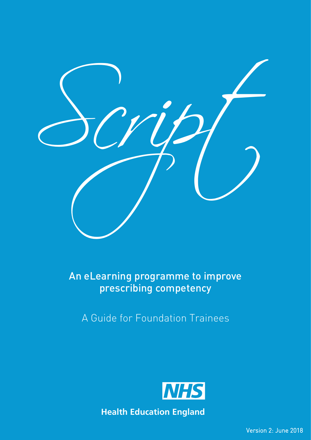

An eLearning programme to improve prescribing competency

A Guide for Foundation Trainees



**Health Education England**

Version 2: June 2018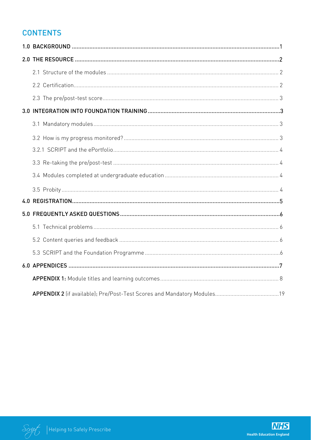## **CONTENTS**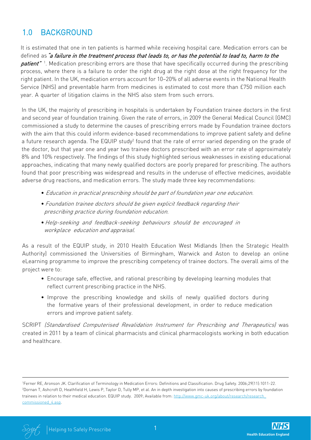# 1.0 BACKGROUND

It is estimated that one in ten patients is harmed while receiving hospital care. Medication errors can be defined as "a failure in the treatment process that leads to, or has the potential to lead to, harm to the patient"<sup>1</sup>. Medication prescribing errors are those that have specifically occurred during the prescribing process, where there is a failure to order the right drug at the right dose at the right frequency for the right patient. In the UK, medication errors account for 10–20% of all adverse events in the National Health Service (NHS) and preventable harm from medicines is estimated to cost more than £750 million each year. A quarter of litigation claims in the NHS also stem from such errors.

In the UK, the majority of prescribing in hospitals is undertaken by Foundation trainee doctors in the first and second year of foundation training. Given the rate of errors, in 2009 the General Medical Council (GMC) commissioned a study to determine the causes of prescribing errors made by Foundation trainee doctors with the aim that this could inform evidence-based recommendations to improve patient safety and define a future research agenda. The EQUIP study<sup>2</sup> found that the rate of error varied depending on the grade of the doctor, but that year one and year two trainee doctors prescribed with an error rate of approximately 8% and 10% respectively. The findings of this study highlighted serious weaknesses in existing educational approaches, indicating that many newly qualified doctors are poorly prepared for prescribing. The authors found that poor prescribing was widespread and results in the underuse of effective medicines, avoidable adverse drug reactions, and medication errors. The study made three key recommendations:

- Education in practical prescribing should be part of foundation year one education.
- Foundation trainee doctors should be given explicit feedback regarding their prescribing practice during foundation education.
- •Help-seeking and feedback-seeking behaviours should be encouraged in workplace education and appraisal.

As a result of the EQUIP study, in 2010 Health Education West Midlands (then the Strategic Health Authority) commissioned the Universities of Birmingham, Warwick and Aston to develop an online eLearning programme to improve the prescribing competency of trainee doctors. The overall aims of the project were to:

- Encourage safe, effective, and rational prescribing by developing learning modules that reflect current prescribing practice in the NHS.
- Improve the prescribing knowledge and skills of newly qualified doctors during the formative years of their professional development, in order to reduce medication errors and improve patient safety.

SCRIPT (Standardised Computerised Revalidation Instrument for Prescribing and Therapeutics) was created in 2011 by a team of clinical pharmacists and clinical pharmacologists working in both education and healthcare.

<sup>1</sup> Ferner RE, Aronson JK. Clarification of Terminology in Medication Errors: Definitions and Classification. Drug Safety. 2006;29(11):1011-22. 2 Dornan T, Ashcroft D, Heathfield H, Lewis P, Taylor D, Tully MP, et al. An in depth investigation into causes of prescribing errors by foundation trainees in relation to their medical education. EQUIP study. 2009; Available from: http://www.gmc-uk.org/about/research/research commissioned\_4.asp.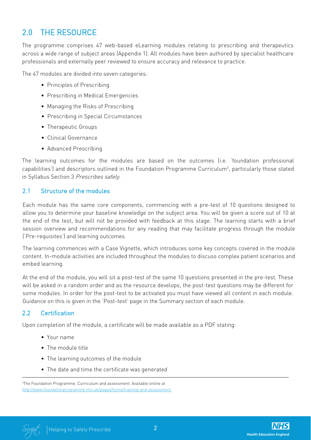# 2.0 THE RESOURCE

The programme comprises 47 web-based eLearning modules relating to prescribing and therapeutics across a wide range of subject areas (Appendix 1). All modules have been authored by specialist healthcare professionals and externally peer reviewed to ensure accuracy and relevance to practice.

The 47 modules are divided into seven categories:

- Principles of Prescribing
- Prescribing in Medical Emergencies
- Managing the Risks of Prescribing
- Prescribing in Special Circumstances
- Therapeutic Groups
- Clinical Governance
- Advanced Prescribing

The learning outcomes for the modules are based on the outcomes (i.e. 'foundation professional capabilities') and descriptors outlined in the Foundation Programme Curriculum<sup>3</sup>, particularly those stated in Syllabus Section 3 Prescribes safely.

#### 2.1 Structure of the modules

Each module has the same core components, commencing with a pre-test of 10 questions designed to allow you to determine your baseline knowledge on the subject area. You will be given a score out of 10 at the end of the test, but will not be provided with feedback at this stage. The learning starts with a brief session overview and recommendations for any reading that may facilitate progress through the module ('Pre-requisites') and learning outcomes.

The learning commences with a Case Vignette, which introduces some key concepts covered in the module content. In-module activities are included throughout the modules to discuss complex patient scenarios and embed learning.

At the end of the module, you will sit a post-test of the same 10 questions presented in the pre-test. These will be asked in a random order and as the resource develops, the post-test questions may be different for some modules. In order for the post-test to be activated you must have viewed all content in each module. Guidance on this is given in the 'Post-test' page in the Summary section of each module.

## 2.2 Certification

Upon completion of the module, a certificate will be made available as a PDF stating:

- Your name
- The module title
- The learning outcomes of the module
- The date and time the certificate was generated



<sup>3</sup> The Foundation Programme. Curriculum and assessment. Available online at http://www.foundationprogramme.nhs.uk/pages/home/training-and-assessment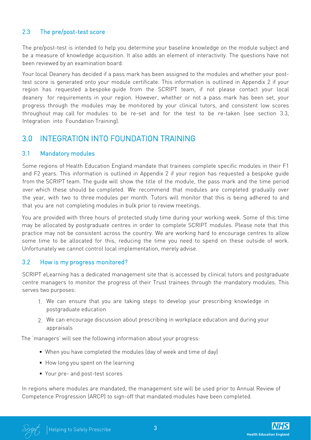## 2.3 The pre/post-test score

The pre/post-test is intended to help you determine your baseline knowledge on the module subject and be a measure of knowledge acquisition. It also adds an element of interactivity. The questions have not been reviewed by an examination board.

Your local Deanery has decided if a pass mark has been assigned to the modules and whether your posttest score is generated onto your module certificate. This information is outlined in Appendix 2 if your region has requested a bespoke guide from the SCRIPT team, if not please contact your local deanery for requirements in your region. However, whether or not a pass mark has been set, your progress through the modules may be monitored by your clinical tutors, and consistent low scores throughout may call for modules to be re-set and for the test to be re-taken (see section 3.3, Integration into Foundation Training).

## 3.0 INTEGRATION INTO FOUNDATION TRAINING

#### 3.1 Mandatory modules

Some regions of Health Education England mandate that trainees complete specific modules in their F1 and F2 years. This information is outlined in Appendix 2 if your region has requested a bespoke guide from the SCRIPT team. The guide will show the title of the module, the pass mark and the time period over which these should be completed. We recommend that modules are completed gradually over the year, with two to three modules per month. Tutors will monitor that this is being adhered to and that you are not completing modules in bulk prior to review meetings.

You are provided with three hours of protected study time during your working week. Some of this time may be allocated by postgraduate centres in order to complete SCRIPT modules. Please note that this practice may not be consistent across the country. We are working hard to encourage centres to allow some time to be allocated for this, reducing the time you need to spend on these outside of work. Unfortunately we cannot control local implementation, merely advise.

## 3.2 How is my progress monitored?

SCRIPT eLearning has a dedicated management site that is accessed by clinical tutors and postgraduate centre managers to monitor the progress of their Trust trainees through the mandatory modules. This serves two purposes:

- 1. We can ensure that you are taking steps to develop your prescribing knowledge in postgraduate education
- 2. We can encourage discussion about prescribing in workplace education and during your appraisals

The 'managers' will see the following information about your progress:

- When you have completed the modules (day of week and time of day)
- How long you spent on the learning
- Your pre- and post-test scores

In regions where modules are mandated, the management site will be used prior to Annual Review of Competence Progression (ARCP) to sign-off that mandated modules have been completed.

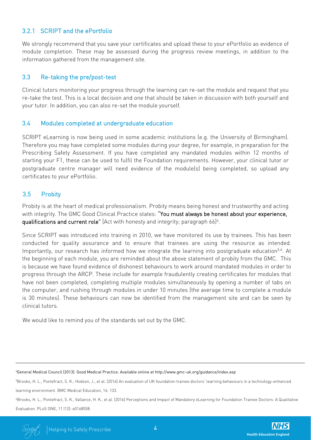### 3.2.1 SCRIPT and the ePortfolio

We strongly recommend that you save your certificates and upload these to your ePortfolio as evidence of module completion. These may be assessed during the progress review meetings, in addition to the information gathered from the management site.

#### 3.3 Re-taking the pre/post-test

Clinical tutors monitoring your progress through the learning can re-set the module and request that you re-take the test. This is a local decision and one that should be taken in discussion with both yourself and your tutor. In addition, you can also re-set the module yourself.

#### 3.4 Modules completed at undergraduate education

SCRIPT eLearning is now being used in some academic institutions (e.g. the University of Birmingham). Therefore you may have completed some modules during your degree, for example, in preparation for the Prescribing Safety Assessment. If you have completed any mandated modules within 12 months of starting your F1, these can be used to fulfil the Foundation requirements. However, your clinical tutor or postgraduate centre manager will need evidence of the module(s) being completed, so upload any certificates to your ePortfolio.

### 3.5 Probity

Probity is at the heart of medical professionalism. Probity means being honest and trustworthy and acting with integrity. The GMC Good Clinical Practice states: "You must always be honest about your experience, qualifications and current role" [Act with honesty and integrity; paragraph 66]<sup>4</sup>.

Since SCRIPT was introduced into training in 2010, we have monitored its use by trainees. This has been conducted for quality assurance and to ensure that trainees are using the resource as intended. Importantly, our research has informed how we integrate the learning into postgraduate education<sup>5,6</sup>. At the beginning of each module, you are reminded about the above statement of probity from the GMC. This is because we have found evidence of dishonest behaviours to work around mandated modules in order to progress through the ARCP. These include for example fraudulently creating certificates for modules that have not been completed, completing multiple modules simultaneously by opening a number of tabs on the computer, and rushing through modules in under 10 minutes (the average time to complete a module is 30 minutes). These behaviours can now be identified from the management site and can be seen by clinical tutors.

We would like to remind you of the standards set out by the GMC.

<sup>4</sup>General Medical Council (2013). Good Medical Practice. Available online at http://www.gmc-uk.org/guidance/index.asp

<sup>5</sup>Brooks, H. L., Pontefract, S. K., Hodson, J., et al. (2016) An evaluation of UK foundation trainee doctors' learning behaviours in a technology-enhanced

learning environment. BMC Medical Education, 16: 133.

<sup>6</sup>Brooks, H. L., Pontefract, S. K., Vallance, H. K., et al. (2016) Perceptions and Impact of Mandatory eLearning for Foundation Trainee Doctors: A Qualitative Evaluation. PLoS ONE, 11 (12): e0168558.

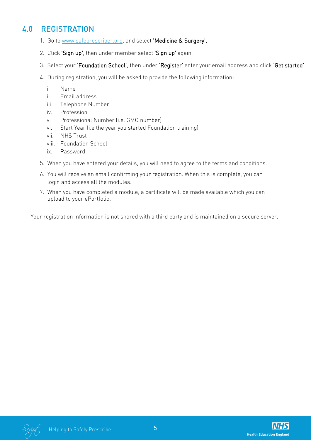## 4.0 REGISTRATION

- 1. Go to www.safeprescriber.org, and select 'Medicine & Surgery'.
- 2. Click 'Sign up', then under member select 'Sign up' again.
- 3. Select your 'Foundation School', then under 'Register' enter your email address and click 'Get started'
- 4. During registration, you will be asked to provide the following information:
	- i. Name
	- ii. Email address
	- iii. Telephone Number
	- iv. Profession
	- v. Professional Number (i.e. GMC number)
	- vi. Start Year (i.e the year you started Foundation training)
	- vii. NHS Trust
	- viii. Foundation School
	- ix. Password
- 5. When you have entered your details, you will need to agree to the terms and conditions.
- 6. You will receive an email confirming your registration. When this is complete, you can login and access all the modules.
- When you have completed a module, a certificate will be made available which you can 7. upload to your ePortfolio.

Your registration information is not shared with a third party and is maintained on a secure server.

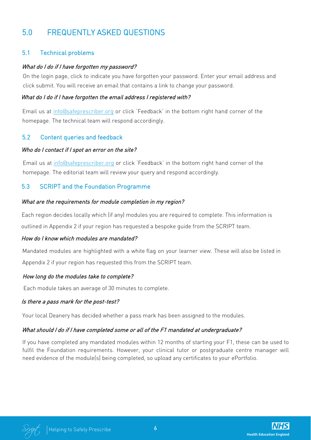# 5.0 FREQUENTLY ASKED QUESTIONS

## 5.1 Technical problems

#### What do I do if I have forgotten my password?

On the login page, click to indicate you have forgotten your password. Enter your email address and click submit. You will receive an email that contains a link to change your password.

#### What do I do if I have forgotten the email address I registered with?

Email us at info@safeprescriber.org or click 'Feedback' in the bottom right hand corner of the homepage. The technical team will respond accordingly.

## 5.2 Content queries and feedback

#### Who do I contact if I spot an error on the site?

Email us at info@safeprescriber.org or click 'Feedback' in the bottom right hand corner of the homepage. The editorial team will review your query and respond accordingly.

## 5.3 SCRIPT and the Foundation Programme

#### What are the requirements for module completion in my region?

Each region decides locally which (if any) modules you are required to complete. This information is outlined in Appendix 2 if your region has requested a bespoke guide from the SCRIPT team.

#### How do I know which modules are mandated?

Mandated modules are highlighted with a white flag on your learner view. These will also be listed in Appendix 2 if your region has requested this from the SCRIPT team.

#### How long do the modules take to complete?

Each module takes an average of 30 minutes to complete.

#### Is there a pass mark for the post-test?

Your local Deanery has decided whether a pass mark has been assigned to the modules.

#### What should I do if I have completed some or all of the F1 mandated at undergraduate?

If you have completed any mandated modules within 12 months of starting your F1, these can be used to fulfil the Foundation requirements. However, your clinical tutor or postgraduate centre manager will need evidence of the module(s) being completed, so upload any certificates to your ePortfolio.

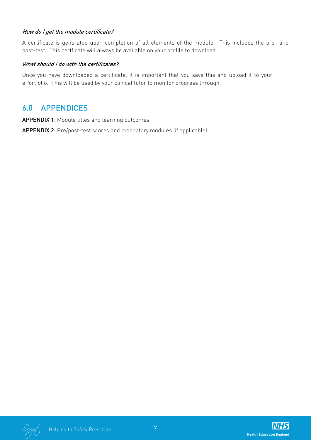#### How do I get the module certificate?

A certificate is generated upon completion of all elements of the module. This includes the pre- and post-test. This certficate will always be available on your profile to download.

#### What should I do with the certificates?

Once you have downloaded a certificate, it is important that you save this and upload it to your ePortfolio. This will be used by your clinical tutor to monitor progress through.

## 6.0 APPENDICES

APPENDIX 1: Module titles and learning outcomes

APPENDIX 2: Pre/post-test scores and mandatory modules (if applicable)

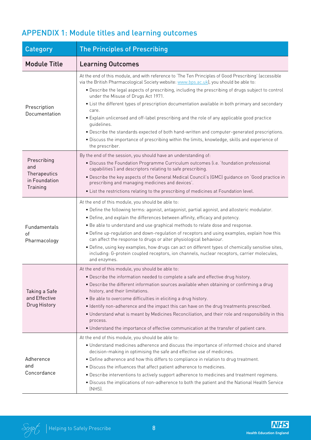| Category                                                        | <b>The Principles of Prescribing</b>                                                                                                                                                                                                                                                                                                                                                                                                                                                                                                                                                                                                                                                                                                                                                          |
|-----------------------------------------------------------------|-----------------------------------------------------------------------------------------------------------------------------------------------------------------------------------------------------------------------------------------------------------------------------------------------------------------------------------------------------------------------------------------------------------------------------------------------------------------------------------------------------------------------------------------------------------------------------------------------------------------------------------------------------------------------------------------------------------------------------------------------------------------------------------------------|
| <b>Module Title</b>                                             | <b>Learning Outcomes</b>                                                                                                                                                                                                                                                                                                                                                                                                                                                                                                                                                                                                                                                                                                                                                                      |
| Prescription<br>Documentation                                   | At the end of this module, and with reference to 'The Ten Principles of Good Prescribing' (accessible<br>via the British Pharmacological Society website: www.bps.ac.uk), you should be able to:<br>. Describe the legal aspects of prescribing, including the prescribing of drugs subject to control<br>under the Misuse of Drugs Act 1971.<br>• List the different types of prescription documentation available in both primary and secondary<br>care.<br>• Explain unlicensed and off-label prescribing and the role of any applicable good practice<br>quidelines.<br>. Describe the standards expected of both hand-written and computer-generated prescriptions.<br>· Discuss the importance of prescribing within the limits, knowledge, skills and experience of<br>the prescriber. |
| Prescribing<br>and<br>Therapeutics<br>in Foundation<br>Training | By the end of the session, you should have an understanding of:<br>· Discuss the Foundation Programme Curriculum outcomes (i.e. 'foundation professional<br>capabilities') and descriptors relating to safe prescribing.<br>• Describe the key aspects of the General Medical Council's (GMC) guidance on 'Good practice in<br>prescribing and managing medicines and devices'.<br>. List the restrictions relating to the prescribing of medicines at Foundation level.                                                                                                                                                                                                                                                                                                                      |
| Fundamentals<br>of<br>Pharmacology                              | At the end of this module, you should be able to:<br>• Define the following terms: agonist, antagonist, partial agonist, and allosteric modulator.<br>• Define, and explain the differences between affinity, efficacy and potency.<br>. Be able to understand and use graphical methods to relate dose and response.<br>• Define up-regulation and down-regulation of receptors and using examples, explain how this<br>can affect the response to drugs or alter physiological behaviour.<br>. Define, using key examples, how drugs can act on different types of chemically sensitive sites,<br>including: G-protein coupled receptors, ion channels, nuclear receptors, carrier molecules,<br>and enzymes.                                                                               |
| Taking a Safe<br>and Effective<br>Drug History                  | At the end of this module, you should be able to:<br>. Describe the information needed to complete a safe and effective drug history.<br>. Describe the different information sources available when obtaining or confirming a drug<br>history, and their limitations.<br>• Be able to overcome difficulties in eliciting a drug history.<br>. Identify non-adherence and the impact this can have on the drug treatments prescribed.<br>. Understand what is meant by Medicines Reconciliation, and their role and responsibility in this<br>process.<br>. Understand the importance of effective communication at the transfer of patient care.                                                                                                                                             |
| Adherence<br>and<br>Concordance                                 | At the end of this module, you should be able to:<br>• Understand medicines adherence and discuss the importance of informed choice and shared<br>decision-making in optimising the safe and effective use of medicines.<br>• Define adherence and how this differs to compliance in relation to drug treatment.<br>. Discuss the influences that affect patient adherence to medicines.<br>• Describe interventions to actively support adherence to medicines and treatment regimens.<br>. Discuss the implications of non-adherence to both the patient and the National Health Service<br>(NHS).                                                                                                                                                                                          |

# APPENDIX 1: Module titles and learning outcomes

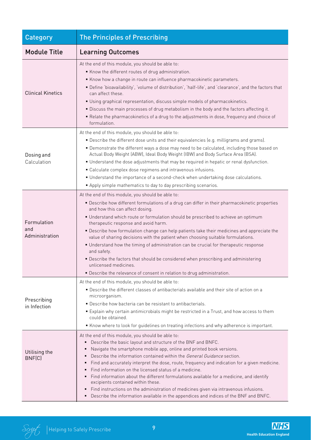| Category                             | <b>The Principles of Prescribing</b>                                                                                                                                                                                                                                                                                                                                                                                                                                                                                                                                                                                                                                                                                                                                                                     |
|--------------------------------------|----------------------------------------------------------------------------------------------------------------------------------------------------------------------------------------------------------------------------------------------------------------------------------------------------------------------------------------------------------------------------------------------------------------------------------------------------------------------------------------------------------------------------------------------------------------------------------------------------------------------------------------------------------------------------------------------------------------------------------------------------------------------------------------------------------|
| <b>Module Title</b>                  | <b>Learning Outcomes</b>                                                                                                                                                                                                                                                                                                                                                                                                                                                                                                                                                                                                                                                                                                                                                                                 |
| <b>Clinical Kinetics</b>             | At the end of this module, you should be able to:<br>Know the different routes of drug administration.<br>Know how a change in route can influence pharmacokinetic parameters.<br>Define 'bioavailability', 'volume of distribution', 'half-life', and 'clearance', and the factors that<br>can affect these.<br>Using graphical representation, discuss simple models of pharmacokinetics.<br>. Discuss the main processes of drug metabolism in the body and the factors affecting it.<br>" Relate the pharmacokinetics of a drug to the adjustments in dose, frequency and choice of<br>formulation.                                                                                                                                                                                                  |
| Dosing and<br>Calculation            | At the end of this module, you should be able to:<br>. Describe the different dose units and their equivalencies (e.g. milligrams and grams).<br>• Demonstrate the different ways a dose may need to be calculated, including those based on<br>Actual Body Weight (ABW), Ideal Body Weight (IBW) and Body Surface Area (BSA).<br>" Understand the dose adjustments that may be required in hepatic or renal dysfunction.<br>• Calculate complex dose regimens and intravenous infusions.<br>" Understand the importance of a second-check when undertaking dose calculations.<br>Apply simple mathematics to day to day prescribing scenarios.                                                                                                                                                          |
| Formulation<br>and<br>Administration | At the end of this module, you should be able to:<br>" Describe how different formulations of a drug can differ in their pharmacokinetic properties<br>and how this can affect dosing.<br>Understand which route or formulation should be prescribed to achieve an optimum<br>therapeutic response and avoid harm.<br>• Describe how formulation change can help patients take their medicines and appreciate the<br>value of sharing decisions with the patient when choosing suitable formulations.<br>• Understand how the timing of administration can be crucial for therapeutic response<br>and safety.<br>• Describe the factors that should be considered when prescribing and administering<br>unlicensed medicines.<br>• Describe the relevance of consent in relation to drug administration. |
| Prescribing<br>in Infection          | At the end of this module, you should be able to:<br>· Describe the different classes of antibacterials available and their site of action on a<br>microorganism.<br>· Describe how bacteria can be resistant to antibacterials.<br>" Explain why certain antimicrobials might be restricted in a Trust, and how access to them<br>could be obtained.<br>Know where to look for guidelines on treating infections and why adherence is important.                                                                                                                                                                                                                                                                                                                                                        |
| Utilising the<br>BNF(C)              | At the end of this module, you should be able to:<br>Describe the basic layout and structure of the BNF and BNFC.<br>Navigate the smartphone mobile app, online and printed book versions.<br>Describe the information contained within the General Guidance section.<br>Find and accurately interpret the dose, route, frequency and indication for a given medicine.<br>Find information on the licensed status of a medicine.<br>Find information about the different formulations available for a medicine, and identify<br>excipients contained within these.<br>Find instructions on the administration of medicines given via intravenous infusions.<br>Describe the information available in the appendices and indices of the BNF and BNFC.                                                     |

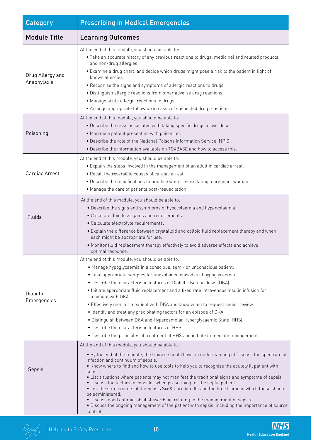| Category                        | <b>Prescribing in Medical Emergencies</b>                                                                                                                                                                                                                                                                                                                                                                                                                                                                                                                                                                                                                                                                                                                                                                         |
|---------------------------------|-------------------------------------------------------------------------------------------------------------------------------------------------------------------------------------------------------------------------------------------------------------------------------------------------------------------------------------------------------------------------------------------------------------------------------------------------------------------------------------------------------------------------------------------------------------------------------------------------------------------------------------------------------------------------------------------------------------------------------------------------------------------------------------------------------------------|
| <b>Module Title</b>             | <b>Learning Outcomes</b>                                                                                                                                                                                                                                                                                                                                                                                                                                                                                                                                                                                                                                                                                                                                                                                          |
| Drug Allergy and<br>Anaphylaxis | At the end of this module, you should be able to:<br>. Take an accurate history of any previous reactions to drugs, medicinal and related products<br>and non-drug allergies.<br>• Examine a drug chart, and decide which drugs might pose a risk to the patient in light of<br>known allergies.<br>. Recognise the signs and symptoms of allergic reactions to drugs.<br>. Distinguish allergic reactions from other adverse drug reactions.<br>• Manage acute allergic reactions to drugs.<br>• Arrange appropriate follow up in cases of suspected drug reactions.                                                                                                                                                                                                                                             |
| Poisoning                       | At the end of this module, you should be able to:<br>. Describe the risks associated with taking specific drugs in overdose.<br>• Manage a patient presenting with poisoning.<br>• Describe the role of the National Poisons Information Service (NPIS).<br>. Describe the information available on TOXBASE and how to access this.                                                                                                                                                                                                                                                                                                                                                                                                                                                                               |
| Cardiac Arrest                  | At the end of this module, you should be able to:<br>. Explain the steps involved in the management of an adult in cardiac arrest.<br>. Recall the reversible causes of cardiac arrest.<br>. Describe the modifications to practice when resuscitating a pregnant woman.<br>• Manage the care of patients post-resuscitation.                                                                                                                                                                                                                                                                                                                                                                                                                                                                                     |
| Fluids                          | At the end of this module, you should be able to:<br>. Describe the signs and symptoms of hypovolaemia and hypervolaemia.<br>· Calculate fluid loss, gains and requirements.<br>· Calculate electrolyte requirements.<br>• Explain the difference between crystalloid and colloid fluid replacement therapy and when<br>each might be appropriate for use.<br>. Monitor fluid replacement therapy effectively to avoid adverse effects and achieve<br>optimal response.                                                                                                                                                                                                                                                                                                                                           |
| <b>Diabetic</b><br>Emergencies  | At the end of this module, you should be able to:<br>· Manage hypoglycaemia in a conscious, semi- or unconscious patient.<br>• Take appropriate samples for unexplained episodes of hypoglycaemia.<br>• Describe the characteristic features of Diabetic Ketoacidosis (DKA).<br>• Initiate appropriate fluid replacement and a fixed rate intravenous insulin infusion for<br>a patient with DKA.<br>• Effectively monitor a patient with DKA and know when to request senior review.<br>. Identify and treat any precipitating factors for an episode of DKA.<br>• Distinguish between DKA and Hyperosmolar Hyperglycaemic State (HHS).<br>• Describe the characteristic features of HHS.<br>. Describe the principles of treatment of HHS and initiate immediate management.                                    |
| Sepsis                          | At the end of this module, you should be able to:<br>. By the end of the module, the trainee should have an understanding of Discuss the spectrum of<br>infection and continuum of sepsis.<br>. Know where to find and how to use tools to help you to recognise the acutely ill patient with<br>sepsis.<br>• List situations where patients may not manifest the traditional signs and symptoms of sepsis.<br>. Discuss the factors to consider when prescribing for the septic patient.<br>• List the six elements of the Sepsis Six® Care bundle and the time frame in which these should<br>be administered.<br>. Discuss good antimicrobial stewardship relating to the management of sepsis.<br>. Discuss the ongoing management of the patient with sepsis, including the importance of source<br>control. |

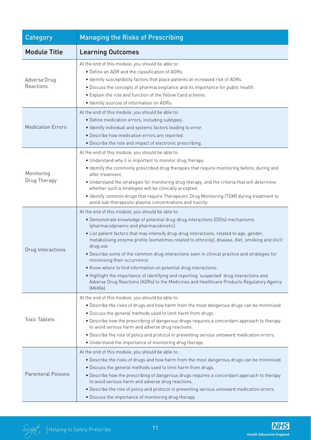| Category                   | <b>Managing the Risks of Prescribing</b>                                                                                                                                                                                                                                                                                                                                                                                                                                                                                                                                                                                                                                                                                                                                                           |
|----------------------------|----------------------------------------------------------------------------------------------------------------------------------------------------------------------------------------------------------------------------------------------------------------------------------------------------------------------------------------------------------------------------------------------------------------------------------------------------------------------------------------------------------------------------------------------------------------------------------------------------------------------------------------------------------------------------------------------------------------------------------------------------------------------------------------------------|
| <b>Module Title</b>        | <b>Learning Outcomes</b>                                                                                                                                                                                                                                                                                                                                                                                                                                                                                                                                                                                                                                                                                                                                                                           |
| Adverse Drug<br>Reactions  | At the end of this module, you should be able to:<br>• Define an ADR and the classification of ADRs.<br>. Identify susceptibility factors that place patients at increased risk of ADRs.<br>. Discuss the concepts of pharmacovigilance and its importance for public health.<br>• Explain the role and function of the Yellow Card scheme.<br>· Identify sources of information on ADRs.                                                                                                                                                                                                                                                                                                                                                                                                          |
| <b>Medication Errors</b>   | At the end of this module, you should be able to:<br>· Define medication errors, including subtypes.<br>· Identify individual and systems factors leading to error.<br>· Describe how medication errors are reported.<br>• Describe the role and impact of electronic prescribing.                                                                                                                                                                                                                                                                                                                                                                                                                                                                                                                 |
| Monitoring<br>Drug Therapy | At the end of this module, you should be able to:<br>. Understand why it is important to monitor drug therapy.<br>• Identify the commonly prescribed drug therapies that require monitoring before, during and<br>after treatment.<br>. Understand the strategies for monitoring drug therapy, and the criteria that will determine<br>whether such a strategies will be clinically accepted.<br>. Identify common drugs that require Therapeutic Drug Monitoring (TDM) during treatment to<br>avoid sub-therapeutic plasma concentrations and toxicity.                                                                                                                                                                                                                                           |
| Drug Interactions          | At the end of this module, you should be able to:<br>• Demonstrate knowledge of potential drug-drug interactions (DDIs) mechanisms<br>(pharmacodynamic and pharmacokinetic).<br>. List patient factors that may intensify drug-drug interactions, related to age, gender,<br>metabolising enzyme profile (sometimes related to ethnicity), disease, diet, smoking and illicit<br>drug use.<br>. Describe some of the common drug interactions seen in clinical practice and strategies for<br>minimising their occurrence.<br>• Know where to find information on potential drug interactions.<br>• Highlight the importance of identifying and reporting 'suspected' drug interactions and<br>Adverse Drug Reactions (ADRs) to the Medicines and Healthcare Products Regulatory Agency<br>(MHRA). |
| <b>Toxic Tablets</b>       | At the end of this module, you should be able to:<br>. Describe the risks of drugs and how harm from the most dangerous drugs can be minimised.<br>. Discuss the general methods used to limit harm from drugs.<br>• Describe how the prescribing of dangerous drugs requires a concordant approach to therapy<br>to avoid serious harm and adverse drug reactions.<br>. Describe the role of policy and protocol in preventing serious untoward medication errors.<br>• Understand the importance of monitoring drug therapy.                                                                                                                                                                                                                                                                     |
| <b>Parenteral Poisons</b>  | At the end of this module, you should be able to:<br>. Describe the risks of drugs and how harm from the most dangerous drugs can be minimised.<br>. Discuss the general methods used to limit harm from drugs.<br>. Describe how the prescribing of dangerous drugs requires a concordant approach to therapy<br>to avoid serious harm and adverse drug reactions.<br>. Describe the role of policy and protocol in preventing serious untoward medication errors.<br>• Discuss the importance of monitoring drug therapy.                                                                                                                                                                                                                                                                        |

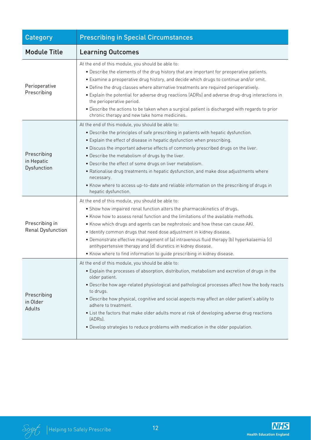| Category                                 | <b>Prescribing in Special Circumstances</b>                                                                                                                                                                                                                                                                                                                                                                                                                                                                                                                                                                                                            |
|------------------------------------------|--------------------------------------------------------------------------------------------------------------------------------------------------------------------------------------------------------------------------------------------------------------------------------------------------------------------------------------------------------------------------------------------------------------------------------------------------------------------------------------------------------------------------------------------------------------------------------------------------------------------------------------------------------|
| <b>Module Title</b>                      | <b>Learning Outcomes</b>                                                                                                                                                                                                                                                                                                                                                                                                                                                                                                                                                                                                                               |
| Perioperative<br>Prescribing             | At the end of this module, you should be able to:<br>. Describe the elements of the drug history that are important for preoperative patients.<br>• Examine a preoperative drug history, and decide which drugs to continue and/or omit.<br>. Define the drug classes where alternative treatments are required perioperatively.<br>• Explain the potential for adverse drug reactions (ADRs) and adverse drug-drug interactions in<br>the perioperative period.<br>. Describe the actions to be taken when a surgical patient is discharged with regards to prior<br>chronic therapy and new take home medicines.                                     |
| Prescribing<br>in Hepatic<br>Dysfunction | At the end of this module, you should be able to:<br>. Describe the principles of safe prescribing in patients with hepatic dysfunction.<br>• Explain the effect of disease in hepatic dysfunction when prescribing.<br>. Discuss the important adverse effects of commonly prescribed drugs on the liver.<br>. Describe the metabolism of drugs by the liver.<br>. Describe the effect of some drugs on liver metabolism.<br>· Rationalise drug treatments in hepatic dysfunction, and make dose adjustments where<br>necessary.<br>. Know where to access up-to-date and reliable information on the prescribing of drugs in<br>hepatic dysfunction. |
| Prescribing in<br>Renal Dysfunction      | At the end of this module, you should be able to:<br>• Show how impaired renal function alters the pharmacokinetics of drugs.<br>. Know how to assess renal function and the limitations of the available methods.<br>. Know which drugs and agents can be nephrotoxic and how these can cause AKI.<br>. Identify common drugs that need dose adjustment in kidney disease.<br>• Demonstrate effective management of (a) intravenous fluid therapy (b) hyperkalaemia (c)<br>antihypertensive therapy and (d) diuretics in kidney disease.<br>• Know where to find information to guide prescribing in kidney disease.                                  |
| Prescribing<br>in Older<br>Adults        | At the end of this module, you should be able to:<br>· Explain the processes of absorption, distribution, metabolism and excretion of drugs in the<br>older patient.<br>. Describe how age-related physiological and pathological processes affect how the body reacts<br>to drugs.<br>. Describe how physical, cognitive and social aspects may affect an older patient's ability to<br>adhere to treatment.<br>• List the factors that make older adults more at risk of developing adverse drug reactions<br>(ADRs).<br>. Develop strategies to reduce problems with medication in the older population.                                            |

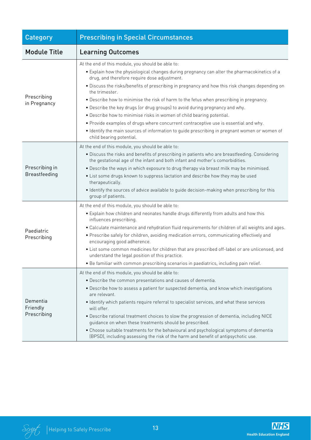| <b>Category</b>                        | <b>Prescribing in Special Circumstances</b>                                                                                                                                                                                                                                                                                                                                                                                                                                                                                                                                                                                                                                                                                                                                                     |
|----------------------------------------|-------------------------------------------------------------------------------------------------------------------------------------------------------------------------------------------------------------------------------------------------------------------------------------------------------------------------------------------------------------------------------------------------------------------------------------------------------------------------------------------------------------------------------------------------------------------------------------------------------------------------------------------------------------------------------------------------------------------------------------------------------------------------------------------------|
| <b>Module Title</b>                    | <b>Learning Outcomes</b>                                                                                                                                                                                                                                                                                                                                                                                                                                                                                                                                                                                                                                                                                                                                                                        |
| Prescribing<br>in Pregnancy            | At the end of this module, you should be able to:<br>• Explain how the physiological changes during pregnancy can alter the pharmacokinetics of a<br>drug, and therefore require dose adjustment.<br>. Discuss the risks/benefits of prescribing in pregnancy and how this risk changes depending on<br>the trimester.<br>. Describe how to minimise the risk of harm to the fetus when prescribing in pregnancy.<br>. Describe the key drugs (or drug groups) to avoid during pregnancy and why.<br>. Describe how to minimise risks in women of child bearing potential.<br>. Provide examples of drugs where concurrent contraceptive use is essential and why.<br>• Identify the main sources of information to guide prescribing in pregnant women or women of<br>child bearing potential. |
| Prescribing in<br><b>Breastfeeding</b> | At the end of this module, you should be able to:<br>• Discuss the risks and benefits of prescribing in patients who are breastfeeding. Considering<br>the gestational age of the infant and both infant and mother's comorbidities.<br>. Describe the ways in which exposure to drug therapy via breast milk may be minimised.<br>• List some drugs known to suppress lactation and describe how they may be used<br>therapeutically.<br>. Identify the sources of advice available to guide decision-making when prescribing for this<br>group of patients.                                                                                                                                                                                                                                   |
| Paediatric<br>Prescribing              | At the end of this module, you should be able to:<br>• Explain how children and neonates handle drugs differently from adults and how this<br>influences prescribing.<br>· Calculate maintenance and rehydration fluid requirements for children of all weights and ages.<br>. Prescribe safely for children, avoiding medication errors, communicating effectively and<br>encouraging good adherence.<br>• List some common medicines for children that are prescribed off-label or are unlicensed, and<br>understand the legal position of this practice.<br>. Be familiar with common prescribing scenarios in paediatrics, including pain relief.                                                                                                                                           |
| Dementia<br>Friendly<br>Prescribing    | At the end of this module, you should be able to:<br>• Describe the common presentations and causes of dementia.<br>. Describe how to assess a patient for suspected dementia, and know which investigations<br>are relevant.<br>· Identify which patients require referral to specialist services, and what these services<br>will offer.<br>. Describe rational treatment choices to slow the progression of dementia, including NICE<br>guidance on when these treatments should be prescribed.<br>• Choose suitable treatments for the behavioural and psychological symptoms of dementia<br>(BPSD), including assessing the risk of the harm and benefit of antipsychotic use.                                                                                                             |

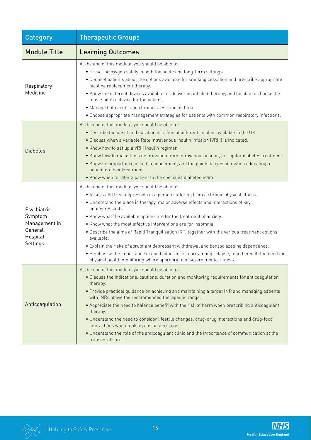| Category                                                                   | <b>Therapeutic Groups</b>                                                                                                                                                                                                                                                                                                                                                                                                                                                                                                                                                                                                                                                                                                                                                       |
|----------------------------------------------------------------------------|---------------------------------------------------------------------------------------------------------------------------------------------------------------------------------------------------------------------------------------------------------------------------------------------------------------------------------------------------------------------------------------------------------------------------------------------------------------------------------------------------------------------------------------------------------------------------------------------------------------------------------------------------------------------------------------------------------------------------------------------------------------------------------|
| <b>Module Title</b>                                                        | <b>Learning Outcomes</b>                                                                                                                                                                                                                                                                                                                                                                                                                                                                                                                                                                                                                                                                                                                                                        |
| Respiratory<br>Medicine                                                    | At the end of this module, you should be able to:<br>. Prescribe oxygen safely in both the acute and long-term settings.<br>• Counsel patients about the options available for smoking cessation and prescribe appropriate<br>nicotine replacement therapy.<br>• Know the different devices available for delivering inhaled therapy, and be able to choose the<br>most suitable device for the patient.<br>• Manage both acute and chronic COPD and asthma.<br>• Choose appropriate management strategies for patients with common respiratory infections.                                                                                                                                                                                                                     |
| <b>Diabetes</b>                                                            | At the end of this module, you should be able to:<br>. Describe the onset and duration of action of different insulins available in the UK.<br>. Discuss when a Variable Rate Intravenous Insulin Infusion (VRIII) is indicated.<br>• Know how to set up a VRIII insulin regimen.<br>. Know how to make the safe transition from intravenous insulin, to regular diabetes treatment.<br>• Know the importance of self-management, and the points to consider when educating a<br>patient on their treatment.<br>• Know when to refer a patient to the specialist diabetes team.                                                                                                                                                                                                 |
| Psychiatric<br>Symptom<br>Management in<br>General<br>Hospital<br>Settings | At the end of this module, you should be able to:<br>• Assess and treat depression in a person suffering from a chronic physical illness.<br>• Understand the place in therapy, major adverse effects and interactions of key<br>antidepressants.<br>• Know what the available options are for the treatment of anxiety.<br>• Know what the most effective interventions are for insomnia.<br>. Describe the aims of Rapid Tranquilisation (RT) together with the various treatment options<br>available.<br>. Explain the risks of abrupt antidepressant withdrawal and benzodiazepine dependence.<br>. Emphasise the importance of good adherence in preventing relapse, together with the need for<br>physical health monitoring where appropriate in severe mental illness. |
| Anticoagulation                                                            | At the end of this module, you should be able to:<br>· Discuss the indications, cautions, duration and monitoring requirements for anticoagulation<br>therapy.<br>• Provide practical guidance on achieving and maintaining a target INR and managing patients<br>with INRs above the recommended therapeutic range.<br>. Appreciate the need to balance benefit with the risk of harm when prescribing anticoagulant<br>therapy.<br>• Understand the need to consider lifestyle changes, drug-drug interactions and drug-food<br>interactions when making dosing decisions.<br>• Understand the role of the anticoagulant clinic and the importance of communication at the<br>transfer of care.                                                                               |

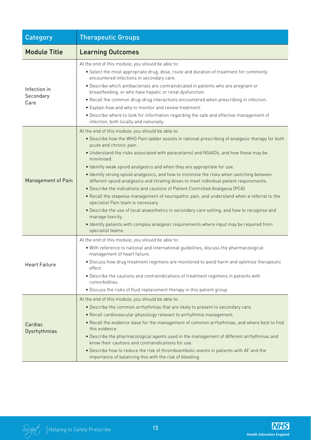| <b>Category</b>                   | <b>Therapeutic Groups</b>                                                                                                                                                                                                                                                                                                                                                                                                                                                                                                                                                                                                                                                                                                                                                                                                                                                                                                                                                                                             |
|-----------------------------------|-----------------------------------------------------------------------------------------------------------------------------------------------------------------------------------------------------------------------------------------------------------------------------------------------------------------------------------------------------------------------------------------------------------------------------------------------------------------------------------------------------------------------------------------------------------------------------------------------------------------------------------------------------------------------------------------------------------------------------------------------------------------------------------------------------------------------------------------------------------------------------------------------------------------------------------------------------------------------------------------------------------------------|
| <b>Module Title</b>               | <b>Learning Outcomes</b>                                                                                                                                                                                                                                                                                                                                                                                                                                                                                                                                                                                                                                                                                                                                                                                                                                                                                                                                                                                              |
| Infection in<br>Secondary<br>Care | At the end of this module, you should be able to:<br>• Select the most appropriate drug, dose, route and duration of treatment for commonly<br>encountered infections in secondary care.<br>· Describe which antibacterials are contraindicated in patients who are pregnant or<br>breastfeeding, or who have hepatic or renal dysfunction.<br>. Recall the common drug-drug interactions encountered when prescribing in infection.<br>• Explain how and why to monitor and review treatment.<br>• Describe where to look for information regarding the safe and effective management of<br>infection, both locally and nationally.                                                                                                                                                                                                                                                                                                                                                                                  |
| <b>Management of Pain</b>         | At the end of this module, you should be able to:<br>. Describe how the WHO Pain ladder assists in rational prescribing of analgesic therapy for both<br>acute and chronic pain.<br>. Understand the risks associated with paracetamol and NSAIDs, and how these may be<br>minimised<br>· Identify weak opioid analgesics and when they are appropriate for use.<br>. Identify strong opioid analgesics, and how to minimise the risks when switching between<br>different opioid analgesics and titrating doses to meet individual patient requirements.<br>. Describe the indications and cautions of Patient Controlled Analgesia (PCA).<br>. Recall the stepwise management of neuropathic pain, and understand when a referral to the<br>specialist Pain team is necessary.<br>. Describe the use of local anaesthetics in secondary care setting, and how to recognise and<br>manage toxicity.<br>· Identify patients with complex analgesic requirements where input may be required from<br>specialist teams. |
| <b>Heart Failure</b>              | At the end of this module, you should be able to:<br>. With reference to national and international guidelines, discuss the pharmacological<br>management of heart failure.<br>. Discuss how drug treatment regimens are monitored to avoid harm and optimise therapeutic<br>effect.<br>• Describe the cautions and contraindications of treatment regimens in patients with<br>comorbidities.<br>. Discuss the risks of fluid replacement therapy in this patient group.                                                                                                                                                                                                                                                                                                                                                                                                                                                                                                                                             |
| Cardiac<br>Dysrhythmias           | At the end of this module, you should be able to:<br>. Describe the common arrhythmias that are likely to present to secondary care.<br>• Recall cardiovascular physiology relevant to arrhythmia management.<br>. Recall the evidence-base for the management of common arrhythmias, and where best to find<br>this evidence.<br>. Describe the pharmacological agents used in the management of different arrhythmias and<br>know their cautions and contraindications for use.<br>. Describe how to reduce the risk of thromboembolic events in patients with AF and the<br>importance of balancing this with the risk of bleeding.                                                                                                                                                                                                                                                                                                                                                                                |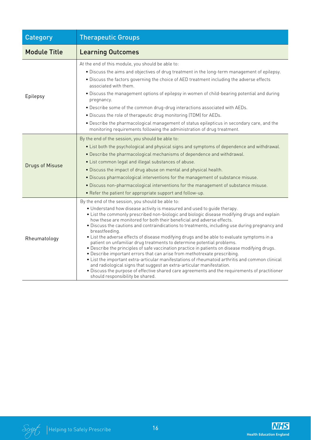| <b>Category</b>        | <b>Therapeutic Groups</b>                                                                                                                                                                                                                                                                                                                                                                                                                                                                                                                                                                                                                                                                                                                                                                                                                                                                                                                                                                                                                                                                             |
|------------------------|-------------------------------------------------------------------------------------------------------------------------------------------------------------------------------------------------------------------------------------------------------------------------------------------------------------------------------------------------------------------------------------------------------------------------------------------------------------------------------------------------------------------------------------------------------------------------------------------------------------------------------------------------------------------------------------------------------------------------------------------------------------------------------------------------------------------------------------------------------------------------------------------------------------------------------------------------------------------------------------------------------------------------------------------------------------------------------------------------------|
| <b>Module Title</b>    | <b>Learning Outcomes</b>                                                                                                                                                                                                                                                                                                                                                                                                                                                                                                                                                                                                                                                                                                                                                                                                                                                                                                                                                                                                                                                                              |
| Epilepsy               | At the end of this module, you should be able to:<br>. Discuss the aims and objectives of drug treatment in the long-term management of epilepsy.<br>. Discuss the factors governing the choice of AED treatment including the adverse effects<br>associated with them.<br>. Discuss the management options of epilepsy in women of child-bearing potential and during<br>pregnancy.<br>. Describe some of the common drug-drug interactions associated with AEDs.<br>. Discuss the role of therapeutic drug monitoring (TDM) for AEDs.<br>. Describe the pharmacological management of status epilepticus in secondary care, and the<br>monitoring requirements following the administration of drug treatment.                                                                                                                                                                                                                                                                                                                                                                                      |
| <b>Drugs of Misuse</b> | By the end of the session, you should be able to:<br>• List both the psychological and physical signs and symptoms of dependence and withdrawal.<br>• Describe the pharmacological mechanisms of dependence and withdrawal.<br>• List common legal and illegal substances of abuse.<br>. Discuss the impact of drug abuse on mental and physical health.<br>. Discuss pharmacological interventions for the management of substance misuse.<br>. Discuss non-pharmacological interventions for the management of substance misuse.<br>• Refer the patient for appropriate support and follow-up.                                                                                                                                                                                                                                                                                                                                                                                                                                                                                                      |
| Rheumatology           | By the end of the session, you should be able to:<br>. Understand how disease activity is measured and used to guide therapy.<br>. List the commonly prescribed non-biologic and biologic disease modifying drugs and explain<br>how these are monitored for both their beneficial and adverse effects.<br>• Discuss the cautions and contraindications to treatments, including use during pregnancy and<br>breastfeeding.<br>• List the adverse effects of disease modifying drugs and be able to evaluate symptoms in a<br>patient on unfamiliar drug treatments to determine potential problems.<br>. Describe the principles of safe vaccination practice in patients on disease modifying drugs.<br>. Describe important errors that can arise from methotrexate prescribing.<br>• List the important extra-articular manifestations of rheumatoid arthritis and common clinical<br>and radiological signs that suggest an extra-articular manifestation.<br>. Discuss the purpose of effective shared care agreements and the requirements of practitioner<br>should responsibility be shared. |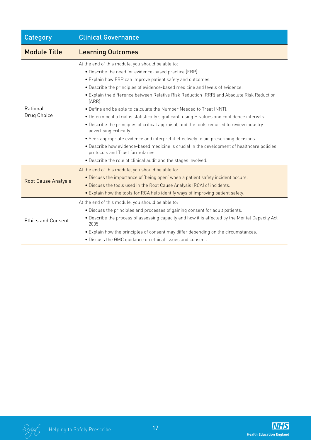| Category                   | <b>Clinical Governance</b>                                                                                                                                                                                                                                                                                                                                                                                                                                                                                                                                                                                                                                                                                                                                                                                                                                                                                                                                            |
|----------------------------|-----------------------------------------------------------------------------------------------------------------------------------------------------------------------------------------------------------------------------------------------------------------------------------------------------------------------------------------------------------------------------------------------------------------------------------------------------------------------------------------------------------------------------------------------------------------------------------------------------------------------------------------------------------------------------------------------------------------------------------------------------------------------------------------------------------------------------------------------------------------------------------------------------------------------------------------------------------------------|
| <b>Module Title</b>        | <b>Learning Outcomes</b>                                                                                                                                                                                                                                                                                                                                                                                                                                                                                                                                                                                                                                                                                                                                                                                                                                                                                                                                              |
| Rational<br>Drug Choice    | At the end of this module, you should be able to:<br>• Describe the need for evidence-based practice (EBP).<br>• Explain how EBP can improve patient safety and outcomes.<br>. Describe the principles of evidence-based medicine and levels of evidence.<br>• Explain the difference between Relative Risk Reduction (RRR) and Absolute Risk Reduction<br>$[ARR]$ .<br>• Define and be able to calculate the Number Needed to Treat (NNT).<br>. Determine if a trial is statistically significant, using P-values and confidence intervals.<br>• Describe the principles of critical appraisal, and the tools required to review industry<br>advertising critically.<br>• Seek appropriate evidence and interpret it effectively to aid prescribing decisions.<br>. Describe how evidence-based medicine is crucial in the development of healthcare policies,<br>protocols and Trust formularies.<br>. Describe the role of clinical audit and the stages involved. |
| <b>Root Cause Analysis</b> | At the end of this module, you should be able to:<br>. Discuss the importance of 'being open' when a patient safety incident occurs.<br>. Discuss the tools used in the Root Cause Analysis (RCA) of incidents.<br>• Explain how the tools for RCA help identify ways of improving patient safety.                                                                                                                                                                                                                                                                                                                                                                                                                                                                                                                                                                                                                                                                    |
| <b>Ethics and Consent</b>  | At the end of this module, you should be able to:<br>. Discuss the principles and processes of gaining consent for adult patients.<br>. Describe the process of assessing capacity and how it is affected by the Mental Capacity Act<br>2005.<br>• Explain how the principles of consent may differ depending on the circumstances.<br>· Discuss the GMC guidance on ethical issues and consent.                                                                                                                                                                                                                                                                                                                                                                                                                                                                                                                                                                      |